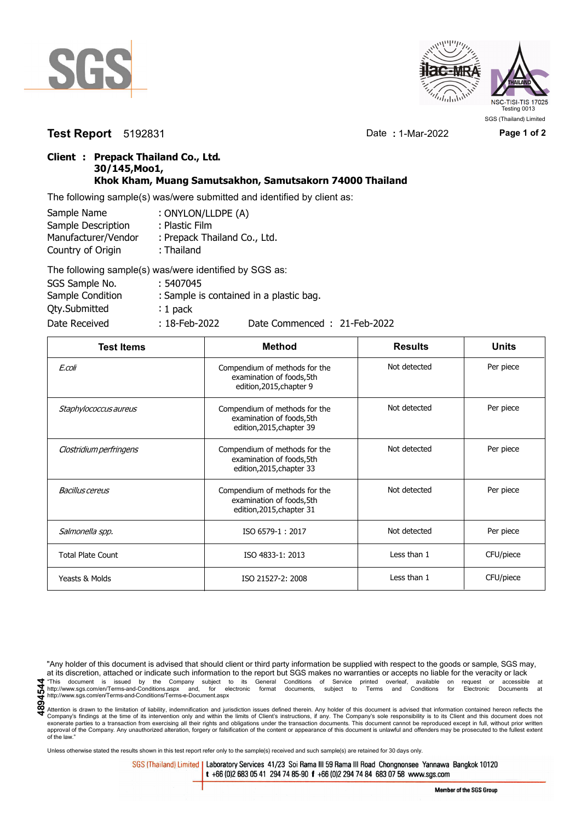



**Test Report** 5192831 Date **:** 1-Mar-2022 **Page 1 of 2**

## **Client : Prepack Thailand Co., Ltd. 30/145,Moo1, Khok Kham, Muang Samutsakhon, Samutsakorn 74000 Thailand**

The following sample(s) was/were submitted and identified by client as:

| Sample Name         | : ONYLON/LLDPE (A)           |
|---------------------|------------------------------|
| Sample Description  | : Plastic Film               |
| Manufacturer/Vendor | : Prepack Thailand Co., Ltd. |
| Country of Origin   | : Thailand                   |
|                     |                              |

| The following sample(s) was/were identified by SGS as: |                  |                                         |
|--------------------------------------------------------|------------------|-----------------------------------------|
| SGS Sample No.                                         | : 5407045        |                                         |
| Sample Condition                                       |                  | : Sample is contained in a plastic bag. |
| <b>Qty.Submitted</b>                                   | $: 1$ pack       |                                         |
| Date Received                                          | $: 18$ -Feb-2022 | Date Commenced: 21-Feb-2022             |

| <b>Test Items</b>        | <b>Method</b>                                                                           | <b>Results</b> | <b>Units</b> |
|--------------------------|-----------------------------------------------------------------------------------------|----------------|--------------|
| E.coli                   | Compendium of methods for the<br>examination of foods, 5th<br>edition, 2015, chapter 9  | Not detected   | Per piece    |
| Staphylococcus aureus    | Compendium of methods for the<br>examination of foods, 5th<br>edition, 2015, chapter 39 | Not detected   | Per piece    |
| Clostridium perfringens  | Compendium of methods for the<br>examination of foods, 5th<br>edition, 2015, chapter 33 | Not detected   | Per piece    |
| Bacillus cereus          | Compendium of methods for the<br>examination of foods, 5th<br>edition, 2015, chapter 31 | Not detected   | Per piece    |
| Salmonella spp.          | ISO 6579-1:2017                                                                         | Not detected   | Per piece    |
| <b>Total Plate Count</b> | ISO 4833-1: 2013                                                                        | Less than 1    | CFU/piece    |
| Yeasts & Molds           | ISO 21527-2: 2008                                                                       | Less than 1    | CFU/piece    |

"Any holder of this document is advised that should client or third party information be supplied with respect to the goods or sample, SGS may, at its discretion, attached or indicate such information to the report but SGS makes no warranties or accepts no liable for the veracity or lack This document is issued by the Company subject to its General Conditions of Service printed overleaf, available on request or accessible at the entropy.//www.sgs.com/en/Terms-and-Conditions.aspx and, for electronic format http://www.sgs.com/en/Terms-and-Conditions/Terms-e-Document.aspx

Attention is drawn to the limitation of liability, indemnification and jurisdiction issues defined therein. Any holder of this document is advised that information contained hereon reflects the Company's findings at the time of its intervention only and within the limits of Client's instructions, if any. The Company's sole responsibility is to its Client and this document does not<br>exonerate parties to a transacti approval of the Company. Any unauthorized alteration, forgery or falsification of the content or appearance of this document is unlawful and offenders may be prosecuted to the fullest extent approval of the Company. Any un of the law."

Unless otherwise stated the results shown in this test report refer only to the sample(s) received and such sample(s) are retained for 30 days only.

SGS (Thailand) Limited | Laboratory Services 41/23 Soi Rama III 59 Rama III Road Chongnonsee Yannawa Bangkok 10120 t +66 (0)2 683 05 41 294 74 85-90 f +66 (0)2 294 74 84 683 07 58 www.sgs.com